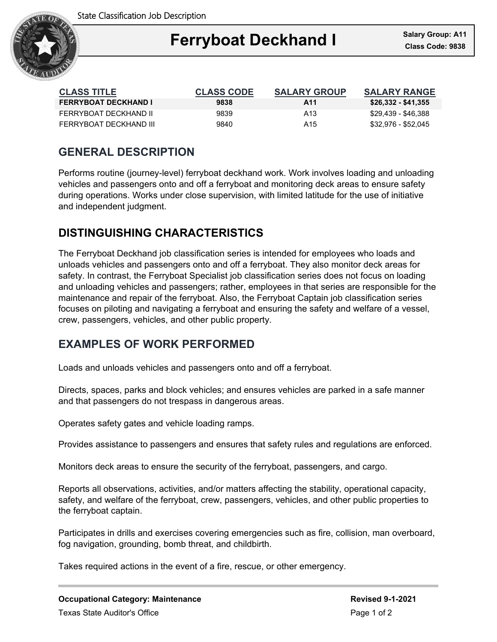

### Ξ **Ferryboat Deckhand I**

| <b>CLASS TITLE</b>          | <b>CLASS CODE</b> | <b>SALARY GROUP</b> | <b>SALARY RANGE</b> |
|-----------------------------|-------------------|---------------------|---------------------|
| <b>FERRYBOAT DECKHAND I</b> | 9838              | A11                 | $$26,332 - $41,355$ |
| FFRRYBOAT DFCKHAND II       | 9839              | A13                 | \$29,439 - \$46,388 |
| FFRRYBOAT DFCKHAND III      | 9840              | A15                 | \$32,976 - \$52,045 |

## **GENERAL DESCRIPTION**

Performs routine (journey-level) ferryboat deckhand work. Work involves loading and unloading vehicles and passengers onto and off a ferryboat and monitoring deck areas to ensure safety during operations. Works under close supervision, with limited latitude for the use of initiative and independent judgment.

# **DISTINGUISHING CHARACTERISTICS**

The Ferryboat Deckhand job classification series is intended for employees who loads and unloads vehicles and passengers onto and off a ferryboat. They also monitor deck areas for safety. In contrast, the Ferryboat Specialist job classification series does not focus on loading and unloading vehicles and passengers; rather, employees in that series are responsible for the maintenance and repair of the ferryboat. Also, the Ferryboat Captain job classification series focuses on piloting and navigating a ferryboat and ensuring the safety and welfare of a vessel, crew, passengers, vehicles, and other public property.

## **EXAMPLES OF WORK PERFORMED**

Loads and unloads vehicles and passengers onto and off a ferryboat.

Directs, spaces, parks and block vehicles; and ensures vehicles are parked in a safe manner and that passengers do not trespass in dangerous areas.

Operates safety gates and vehicle loading ramps.

Provides assistance to passengers and ensures that safety rules and regulations are enforced.

Monitors deck areas to ensure the security of the ferryboat, passengers, and cargo.

Reports all observations, activities, and/or matters affecting the stability, operational capacity, safety, and welfare of the ferryboat, crew, passengers, vehicles, and other public properties to the ferryboat captain.

Participates in drills and exercises covering emergencies such as fire, collision, man overboard, fog navigation, grounding, bomb threat, and childbirth.

Takes required actions in the event of a fire, rescue, or other emergency.